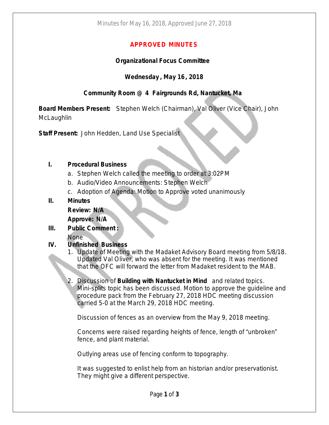# **APPROVED MINUTES**

### **Organizational Focus Committee**

## **Wednesday , May 16, 2018**

# **Community Room @ 4 Fairgrounds Rd, Nantucket, Ma**

**Board Members Present:** Stephen Welch (Chairman), Val Oliver (Vice Chair), John **McLaughlin** 

**Staff Present:** John Hedden, Land Use Specialist

#### **I. Procedural Business**

- a. Stephen Welch called the meeting to order at 3:02PM
- b. Audio/Video Announcements: Stephen Welch
- c. Adoption of Agenda: Motion to Approve voted unanimously
- **II. Minutes**

**Review: N/A**

**Approve: N/A**

- **III. Public Comment :**
	- None

### **IV. Unfinished Business**

- 1. Update of Meeting with the Madaket Advisory Board meeting from 5/8/18. Updated Val Oliver, who was absent for the meeting. It was mentioned that the OFC will forward the letter from Madaket resident to the MAB.
- 2. Discussion of **Building with Nantucket in Mind** and related topics. Mini-splits topic has been discussed. Motion to approve the guideline and procedure pack from the February 27, 2018 HDC meeting discussion carried 5-0 at the March 29, 2018 HDC meeting.

Discussion of fences as an overview from the May 9, 2018 meeting.

Concerns were raised regarding heights of fence, length of "unbroken" fence, and plant material.

Outlying areas use of fencing conform to topography.

It was suggested to enlist help from an historian and/or preservationist. They might give a different perspective.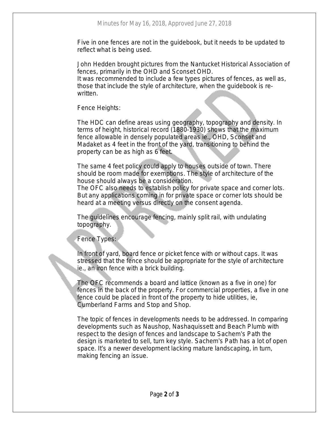Five in one fences are not in the guidebook, but it needs to be updated to reflect what is being used.

John Hedden brought pictures from the Nantucket Historical Association of fences, primarily in the OHD and Sconset OHD.

It was recommended to include a few types pictures of fences, as well as, those that include the style of architecture, when the guidebook is rewritten.

Fence Heights:

The HDC can define areas using geography, topography and density. In terms of height, historical record (1880-1930) shows that the maximum fence allowable in densely populated areas ie., OHD, Sconset and Madaket as 4 feet in the front of the yard, transitioning to behind the property can be as high as 6 feet.

The same 4 feet policy could apply to houses outside of town. There should be room made for exemptions. The style of architecture of the house should always be a consideration.

The OFC also needs to establish policy for private space and corner lots. But any applications coming in for private space or corner lots should be heard at a meeting versus directly on the consent agenda.

The guidelines encourage fencing, mainly split rail, with undulating topography.

# Fence Types:

In front of yard, board fence or picket fence with or without caps. It was stressed that the fence should be appropriate for the style of architecture ie., an iron fence with a brick building.

The OFC recommends a board and lattice (known as a five in one) for fences in the back of the property. For commercial properties, a five in one fence could be placed in front of the property to hide utilities, ie, Cumberland Farms and Stop and Shop.

The topic of fences in developments needs to be addressed. In comparing developments such as Naushop, Nashaquissett and Beach Plumb with respect to the design of fences and landscape to Sachem's Path the design is marketed to sell, turn key style. Sachem's Path has a lot of open space. It's a newer development lacking mature landscaping, in turn, making fencing an issue.